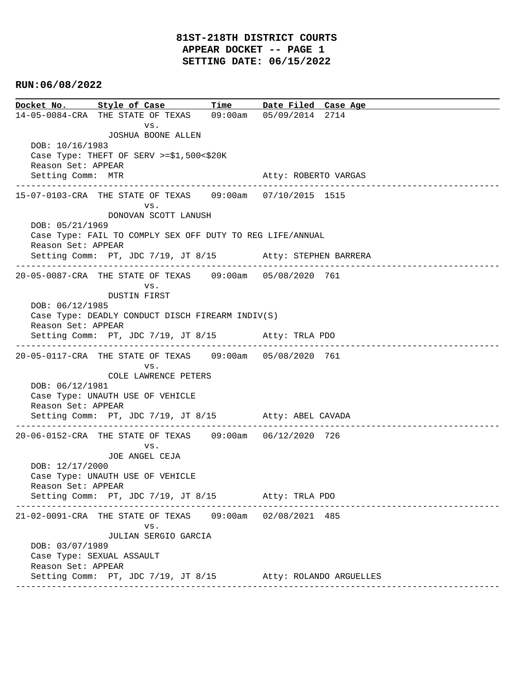# **81ST-218TH DISTRICT COURTS APPEAR DOCKET -- PAGE 1 SETTING DATE: 06/15/2022**

### **RUN:06/08/2022**

**Docket No. Style of Case Time Date Filed Case Age**  14-05-0084-CRA THE STATE OF TEXAS 09:00am 05/09/2014 2714 vs. JOSHUA BOONE ALLEN DOB: 10/16/1983 Case Type: THEFT OF SERV >=\$1,500<\$20K Reason Set: APPEAR Setting Comm: MTR Atty: ROBERTO VARGAS ---------------------------------------------------------------------------------------------- 15-07-0103-CRA THE STATE OF TEXAS 09:00am 07/10/2015 1515 vs. DONOVAN SCOTT LANUSH DOB: 05/21/1969 Case Type: FAIL TO COMPLY SEX OFF DUTY TO REG LIFE/ANNUAL Reason Set: APPEAR Setting Comm: PT, JDC 7/19, JT 8/15 Atty: STEPHEN BARRERA ---------------------------------------------------------------------------------------------- 20-05-0087-CRA THE STATE OF TEXAS 09:00am 05/08/2020 761 vs. DUSTIN FIRST DOB: 06/12/1985 Case Type: DEADLY CONDUCT DISCH FIREARM INDIV(S) Reason Set: APPEAR Setting Comm: PT, JDC 7/19, JT 8/15 Atty: TRLA PDO ---------------------------------------------------------------------------------------------- 20-05-0117-CRA THE STATE OF TEXAS 09:00am 05/08/2020 761 vs. COLE LAWRENCE PETERS DOB: 06/12/1981 Case Type: UNAUTH USE OF VEHICLE Reason Set: APPEAR Setting Comm: PT, JDC 7/19, JT 8/15 Atty: ABEL CAVADA ---------------------------------------------------------------------------------------------- 20-06-0152-CRA THE STATE OF TEXAS 09:00am 06/12/2020 726 vs. JOE ANGEL CEJA DOB: 12/17/2000 Case Type: UNAUTH USE OF VEHICLE Reason Set: APPEAR Setting Comm: PT, JDC 7/19, JT 8/15 Atty: TRLA PDO ---------------------------------------------------------------------------------------------- 21-02-0091-CRA THE STATE OF TEXAS 09:00am 02/08/2021 485 vs. JULIAN SERGIO GARCIA DOB: 03/07/1989 Case Type: SEXUAL ASSAULT Reason Set: APPEAR Setting Comm: PT, JDC 7/19, JT 8/15 Atty: ROLANDO ARGUELLES ----------------------------------------------------------------------------------------------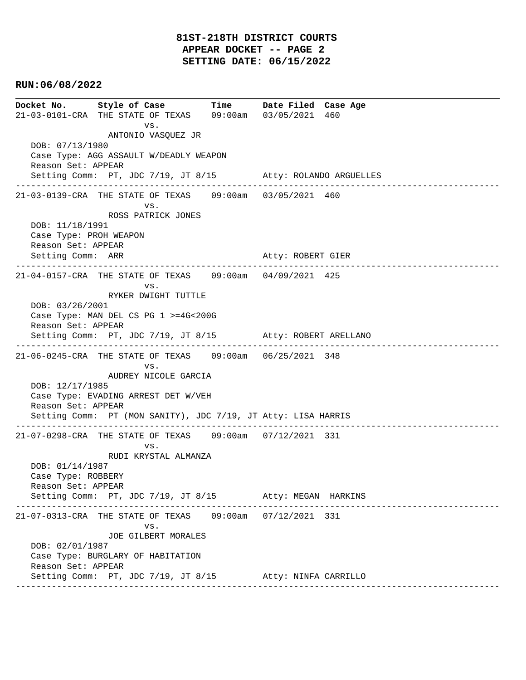**Docket No. Style of Case Time Date Filed Case Age**  21-03-0101-CRA THE STATE OF TEXAS 09:00am 03/05/2021 460 vs. ANTONIO VASQUEZ JR DOB: 07/13/1980 Case Type: AGG ASSAULT W/DEADLY WEAPON Reason Set: APPEAR Setting Comm: PT, JDC 7/19, JT 8/15 Atty: ROLANDO ARGUELLES ---------------------------------------------------------------------------------------------- 21-03-0139-CRA THE STATE OF TEXAS 09:00am 03/05/2021 460 vs. ROSS PATRICK JONES DOB: 11/18/1991 Case Type: PROH WEAPON Reason Set: APPEAR Setting Comm: ARR Atty: ROBERT GIER ---------------------------------------------------------------------------------------------- 21-04-0157-CRA THE STATE OF TEXAS 09:00am 04/09/2021 425 vs. RYKER DWIGHT TUTTLE DOB: 03/26/2001 Case Type: MAN DEL CS PG 1 >=4G<200G Reason Set: APPEAR Setting Comm: PT, JDC 7/19, JT 8/15 Atty: ROBERT ARELLANO ---------------------------------------------------------------------------------------------- 21-06-0245-CRA THE STATE OF TEXAS 09:00am 06/25/2021 348 vs. AUDREY NICOLE GARCIA DOB: 12/17/1985 Case Type: EVADING ARREST DET W/VEH Reason Set: APPEAR Setting Comm: PT (MON SANITY), JDC 7/19, JT Atty: LISA HARRIS ---------------------------------------------------------------------------------------------- 21-07-0298-CRA THE STATE OF TEXAS 09:00am 07/12/2021 331 vs. RUDI KRYSTAL ALMANZA DOB: 01/14/1987 Case Type: ROBBERY Reason Set: APPEAR Setting Comm: PT, JDC 7/19, JT 8/15 Atty: MEGAN HARKINS ---------------------------------------------------------------------------------------------- 21-07-0313-CRA THE STATE OF TEXAS 09:00am 07/12/2021 331 vs. JOE GILBERT MORALES DOB: 02/01/1987 Case Type: BURGLARY OF HABITATION Reason Set: APPEAR Setting Comm: PT, JDC 7/19, JT 8/15 Atty: NINFA CARRILLO ----------------------------------------------------------------------------------------------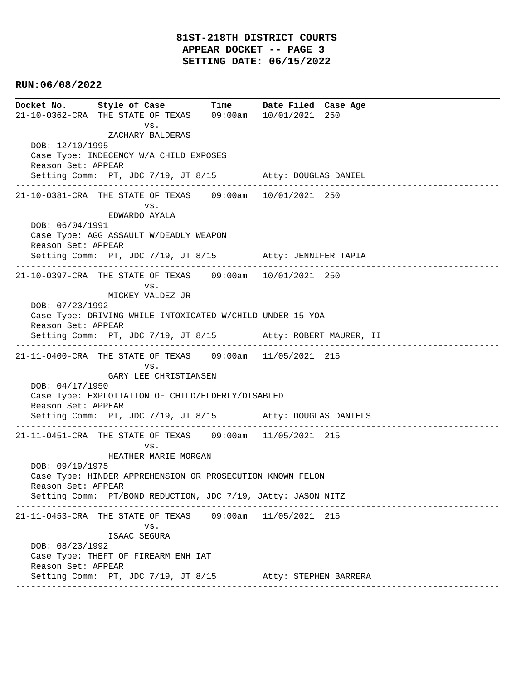**Docket No. Style of Case Time Date Filed Case Age**  21-10-0362-CRA THE STATE OF TEXAS 09:00am 10/01/2021 250 vs. ZACHARY BALDERAS DOB: 12/10/1995 Case Type: INDECENCY W/A CHILD EXPOSES Reason Set: APPEAR Setting Comm: PT, JDC 7/19, JT 8/15 Atty: DOUGLAS DANIEL ---------------------------------------------------------------------------------------------- 21-10-0381-CRA THE STATE OF TEXAS 09:00am 10/01/2021 250 vs. EDWARDO AYALA DOB: 06/04/1991 Case Type: AGG ASSAULT W/DEADLY WEAPON Reason Set: APPEAR Setting Comm: PT, JDC 7/19, JT 8/15 Atty: JENNIFER TAPIA ---------------------------------------------------------------------------------------------- 21-10-0397-CRA THE STATE OF TEXAS 09:00am 10/01/2021 250 vs. MICKEY VALDEZ JR DOB: 07/23/1992 Case Type: DRIVING WHILE INTOXICATED W/CHILD UNDER 15 YOA Reason Set: APPEAR Setting Comm: PT, JDC 7/19, JT 8/15 Atty: ROBERT MAURER, II ---------------------------------------------------------------------------------------------- 21-11-0400-CRA THE STATE OF TEXAS 09:00am 11/05/2021 215 vs. GARY LEE CHRISTIANSEN DOB: 04/17/1950 Case Type: EXPLOITATION OF CHILD/ELDERLY/DISABLED Reason Set: APPEAR Setting Comm: PT, JDC 7/19, JT 8/15 Atty: DOUGLAS DANIELS ---------------------------------------------------------------------------------------------- 21-11-0451-CRA THE STATE OF TEXAS 09:00am 11/05/2021 215 vs. HEATHER MARIE MORGAN DOB: 09/19/1975 Case Type: HINDER APPREHENSION OR PROSECUTION KNOWN FELON Reason Set: APPEAR Setting Comm: PT/BOND REDUCTION, JDC 7/19, JAtty: JASON NITZ ---------------------------------------------------------------------------------------------- 21-11-0453-CRA THE STATE OF TEXAS 09:00am 11/05/2021 215 vs. ISAAC SEGURA DOB: 08/23/1992 Case Type: THEFT OF FIREARM ENH IAT Reason Set: APPEAR Setting Comm: PT, JDC 7/19, JT 8/15 Atty: STEPHEN BARRERA ----------------------------------------------------------------------------------------------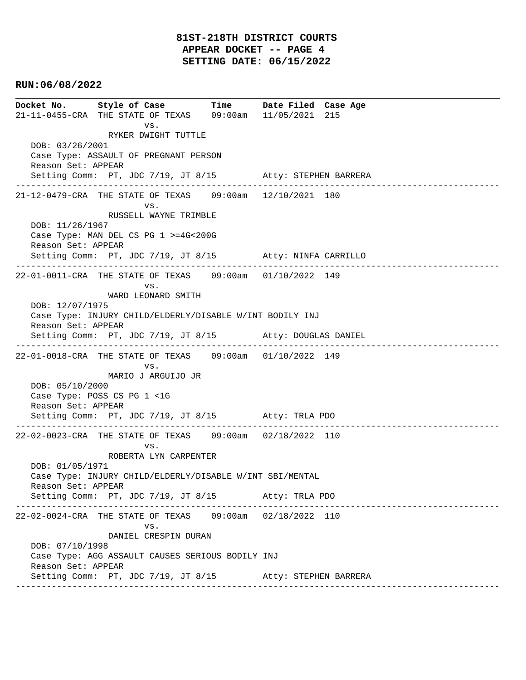**Docket No. Style of Case Time Date Filed Case Age**  21-11-0455-CRA THE STATE OF TEXAS 09:00am 11/05/2021 215 vs. RYKER DWIGHT TUTTLE DOB: 03/26/2001 Case Type: ASSAULT OF PREGNANT PERSON Reason Set: APPEAR Setting Comm: PT, JDC 7/19, JT 8/15 Atty: STEPHEN BARRERA ---------------------------------------------------------------------------------------------- 21-12-0479-CRA THE STATE OF TEXAS 09:00am 12/10/2021 180 vs. RUSSELL WAYNE TRIMBLE DOB: 11/26/1967 Case Type: MAN DEL CS PG 1 >=4G<200G Reason Set: APPEAR Setting Comm: PT, JDC 7/19, JT 8/15 Atty: NINFA CARRILLO ---------------------------------------------------------------------------------------------- 22-01-0011-CRA THE STATE OF TEXAS 09:00am 01/10/2022 149 vs. WARD LEONARD SMITH DOB: 12/07/1975 Case Type: INJURY CHILD/ELDERLY/DISABLE W/INT BODILY INJ Reason Set: APPEAR Setting Comm: PT, JDC 7/19, JT 8/15 Atty: DOUGLAS DANIEL ---------------------------------------------------------------------------------------------- 22-01-0018-CRA THE STATE OF TEXAS 09:00am 01/10/2022 149 vs. MARIO J ARGUIJO JR DOB: 05/10/2000 Case Type: POSS CS PG 1 <1G Reason Set: APPEAR Setting Comm: PT, JDC 7/19, JT 8/15 Atty: TRLA PDO ---------------------------------------------------------------------------------------------- 22-02-0023-CRA THE STATE OF TEXAS 09:00am 02/18/2022 110 vs. ROBERTA LYN CARPENTER DOB: 01/05/1971 Case Type: INJURY CHILD/ELDERLY/DISABLE W/INT SBI/MENTAL Reason Set: APPEAR Setting Comm: PT, JDC 7/19, JT 8/15 Atty: TRLA PDO ---------------------------------------------------------------------------------------------- 22-02-0024-CRA THE STATE OF TEXAS 09:00am 02/18/2022 110 vs. DANIEL CRESPIN DURAN DOB: 07/10/1998 Case Type: AGG ASSAULT CAUSES SERIOUS BODILY INJ Reason Set: APPEAR Setting Comm: PT, JDC 7/19, JT 8/15 Atty: STEPHEN BARRERA ----------------------------------------------------------------------------------------------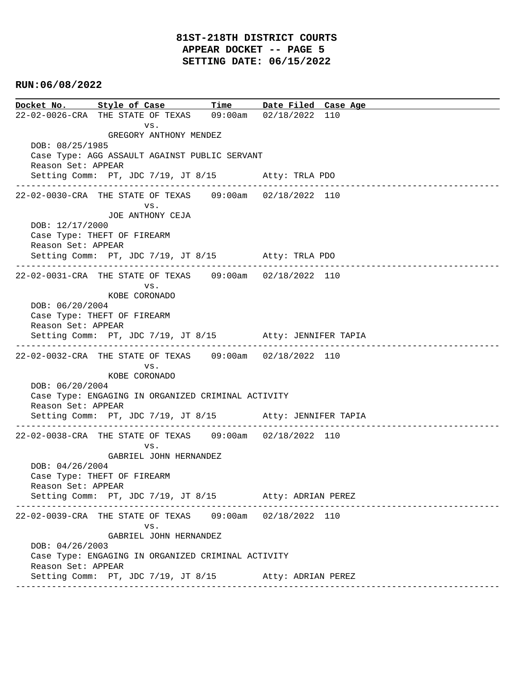# **81ST-218TH DISTRICT COURTS APPEAR DOCKET -- PAGE 5 SETTING DATE: 06/15/2022**

### **RUN:06/08/2022**

**Docket No. Style of Case Time Date Filed Case Age**  22-02-0026-CRA THE STATE OF TEXAS 09:00am 02/18/2022 110 vs. GREGORY ANTHONY MENDEZ DOB: 08/25/1985 Case Type: AGG ASSAULT AGAINST PUBLIC SERVANT Reason Set: APPEAR Setting Comm: PT, JDC 7/19, JT 8/15 Atty: TRLA PDO ---------------------------------------------------------------------------------------------- 22-02-0030-CRA THE STATE OF TEXAS 09:00am 02/18/2022 110 vs. JOE ANTHONY CEJA DOB: 12/17/2000 Case Type: THEFT OF FIREARM Reason Set: APPEAR Setting Comm: PT, JDC 7/19, JT 8/15 Atty: TRLA PDO ---------------------------------------------------------------------------------------------- 22-02-0031-CRA THE STATE OF TEXAS 09:00am 02/18/2022 110 vs. KOBE CORONADO DOB: 06/20/2004 Case Type: THEFT OF FIREARM Reason Set: APPEAR Setting Comm: PT, JDC 7/19, JT 8/15 Atty: JENNIFER TAPIA ---------------------------------------------------------------------------------------------- 22-02-0032-CRA THE STATE OF TEXAS 09:00am 02/18/2022 110 vs. KOBE CORONADO DOB: 06/20/2004 Case Type: ENGAGING IN ORGANIZED CRIMINAL ACTIVITY Reason Set: APPEAR Setting Comm: PT, JDC 7/19, JT 8/15 Atty: JENNIFER TAPIA ---------------------------------------------------------------------------------------------- 22-02-0038-CRA THE STATE OF TEXAS 09:00am 02/18/2022 110 vs. GABRIEL JOHN HERNANDEZ DOB: 04/26/2004 Case Type: THEFT OF FIREARM Reason Set: APPEAR Setting Comm: PT, JDC 7/19, JT 8/15 Atty: ADRIAN PEREZ ---------------------------------------------------------------------------------------------- 22-02-0039-CRA THE STATE OF TEXAS 09:00am 02/18/2022 110 vs. GABRIEL JOHN HERNANDEZ DOB: 04/26/2003 Case Type: ENGAGING IN ORGANIZED CRIMINAL ACTIVITY Reason Set: APPEAR Setting Comm: PT, JDC 7/19, JT 8/15 Atty: ADRIAN PEREZ ----------------------------------------------------------------------------------------------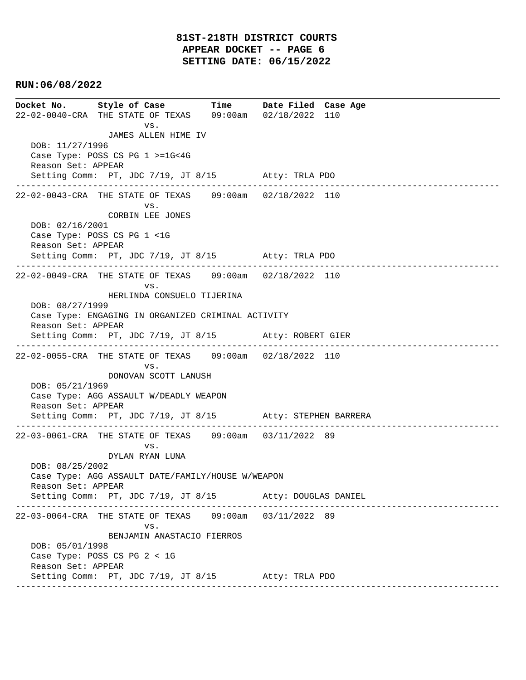**Docket No. Style of Case Time Date Filed Case Age**  22-02-0040-CRA THE STATE OF TEXAS 09:00am 02/18/2022 110 vs. JAMES ALLEN HIME IV DOB: 11/27/1996 Case Type: POSS CS PG 1 >=1G<4G Reason Set: APPEAR Setting Comm: PT, JDC 7/19, JT 8/15 Atty: TRLA PDO ---------------------------------------------------------------------------------------------- 22-02-0043-CRA THE STATE OF TEXAS 09:00am 02/18/2022 110 vs. CORBIN LEE JONES DOB: 02/16/2001 Case Type: POSS CS PG 1 <1G Reason Set: APPEAR Setting Comm: PT, JDC 7/19, JT 8/15 Atty: TRLA PDO ---------------------------------------------------------------------------------------------- 22-02-0049-CRA THE STATE OF TEXAS 09:00am 02/18/2022 110 vs. HERLINDA CONSUELO TIJERINA DOB: 08/27/1999 Case Type: ENGAGING IN ORGANIZED CRIMINAL ACTIVITY Reason Set: APPEAR Setting Comm: PT, JDC 7/19, JT 8/15 Atty: ROBERT GIER ---------------------------------------------------------------------------------------------- 22-02-0055-CRA THE STATE OF TEXAS 09:00am 02/18/2022 110 vs. DONOVAN SCOTT LANUSH DOB: 05/21/1969 Case Type: AGG ASSAULT W/DEADLY WEAPON Reason Set: APPEAR Setting Comm: PT, JDC 7/19, JT 8/15 Atty: STEPHEN BARRERA ---------------------------------------------------------------------------------------------- 22-03-0061-CRA THE STATE OF TEXAS 09:00am 03/11/2022 89 vs. DYLAN RYAN LUNA DOB: 08/25/2002 Case Type: AGG ASSAULT DATE/FAMILY/HOUSE W/WEAPON Reason Set: APPEAR Setting Comm: PT, JDC 7/19, JT 8/15 Atty: DOUGLAS DANIEL ---------------------------------------------------------------------------------------------- 22-03-0064-CRA THE STATE OF TEXAS 09:00am 03/11/2022 89 vs. BENJAMIN ANASTACIO FIERROS DOB: 05/01/1998 Case Type: POSS CS PG 2 < 1G Reason Set: APPEAR Setting Comm: PT, JDC 7/19, JT 8/15 Atty: TRLA PDO ----------------------------------------------------------------------------------------------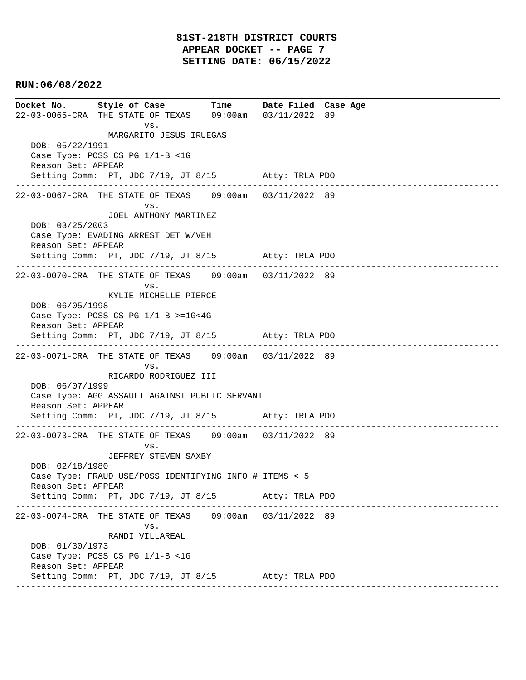**Docket No. Style of Case Time Date Filed Case Age**  22-03-0065-CRA THE STATE OF TEXAS 09:00am 03/11/2022 89 vs. MARGARITO JESUS IRUEGAS DOB: 05/22/1991 Case Type: POSS CS PG 1/1-B <1G Reason Set: APPEAR Setting Comm: PT, JDC 7/19, JT 8/15 Atty: TRLA PDO ---------------------------------------------------------------------------------------------- 22-03-0067-CRA THE STATE OF TEXAS 09:00am 03/11/2022 89 vs. JOEL ANTHONY MARTINEZ DOB: 03/25/2003 Case Type: EVADING ARREST DET W/VEH Reason Set: APPEAR Setting Comm: PT, JDC 7/19, JT 8/15 Atty: TRLA PDO ---------------------------------------------------------------------------------------------- 22-03-0070-CRA THE STATE OF TEXAS 09:00am 03/11/2022 89 vs. KYLIE MICHELLE PIERCE DOB: 06/05/1998 Case Type: POSS CS PG 1/1-B >=1G<4G Reason Set: APPEAR Setting Comm: PT, JDC 7/19, JT 8/15 Atty: TRLA PDO ---------------------------------------------------------------------------------------------- 22-03-0071-CRA THE STATE OF TEXAS 09:00am 03/11/2022 89 vs. RICARDO RODRIGUEZ III DOB: 06/07/1999 Case Type: AGG ASSAULT AGAINST PUBLIC SERVANT Reason Set: APPEAR Setting Comm: PT, JDC 7/19, JT 8/15 Atty: TRLA PDO ---------------------------------------------------------------------------------------------- 22-03-0073-CRA THE STATE OF TEXAS 09:00am 03/11/2022 89 vs. JEFFREY STEVEN SAXBY DOB: 02/18/1980 Case Type: FRAUD USE/POSS IDENTIFYING INFO # ITEMS < 5 Reason Set: APPEAR Setting Comm: PT, JDC 7/19, JT 8/15 Atty: TRLA PDO ---------------------------------------------------------------------------------------------- 22-03-0074-CRA THE STATE OF TEXAS 09:00am 03/11/2022 89 vs. RANDI VILLAREAL DOB: 01/30/1973 Case Type: POSS CS PG 1/1-B <1G Reason Set: APPEAR Setting Comm: PT, JDC 7/19, JT 8/15 Atty: TRLA PDO ----------------------------------------------------------------------------------------------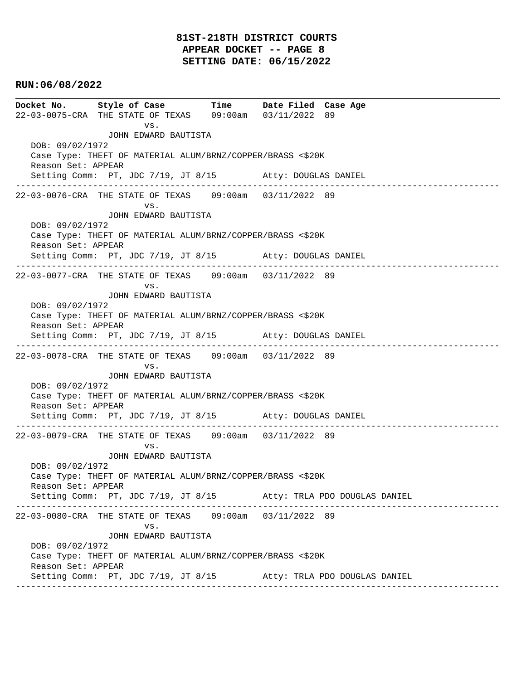# **81ST-218TH DISTRICT COURTS APPEAR DOCKET -- PAGE 8 SETTING DATE: 06/15/2022**

### **RUN:06/08/2022**

**Docket No. Style of Case Time Date Filed Case Age**  22-03-0075-CRA THE STATE OF TEXAS 09:00am 03/11/2022 89 vs. JOHN EDWARD BAUTISTA DOB: 09/02/1972 Case Type: THEFT OF MATERIAL ALUM/BRNZ/COPPER/BRASS <\$20K Reason Set: APPEAR Setting Comm: PT, JDC 7/19, JT 8/15 Atty: DOUGLAS DANIEL ---------------------------------------------------------------------------------------------- 22-03-0076-CRA THE STATE OF TEXAS 09:00am 03/11/2022 89 vs. JOHN EDWARD BAUTISTA DOB: 09/02/1972 Case Type: THEFT OF MATERIAL ALUM/BRNZ/COPPER/BRASS <\$20K Reason Set: APPEAR Setting Comm: PT, JDC 7/19, JT 8/15 Atty: DOUGLAS DANIEL ---------------------------------------------------------------------------------------------- 22-03-0077-CRA THE STATE OF TEXAS 09:00am 03/11/2022 89 vs. JOHN EDWARD BAUTISTA DOB: 09/02/1972 Case Type: THEFT OF MATERIAL ALUM/BRNZ/COPPER/BRASS <\$20K Reason Set: APPEAR Setting Comm: PT, JDC 7/19, JT 8/15 Atty: DOUGLAS DANIEL ---------------------------------------------------------------------------------------------- 22-03-0078-CRA THE STATE OF TEXAS 09:00am 03/11/2022 89 vs. JOHN EDWARD BAUTISTA DOB: 09/02/1972 Case Type: THEFT OF MATERIAL ALUM/BRNZ/COPPER/BRASS <\$20K Reason Set: APPEAR Setting Comm: PT, JDC 7/19, JT 8/15 Atty: DOUGLAS DANIEL ---------------------------------------------------------------------------------------------- 22-03-0079-CRA THE STATE OF TEXAS 09:00am 03/11/2022 89 vs. JOHN EDWARD BAUTISTA DOB: 09/02/1972 Case Type: THEFT OF MATERIAL ALUM/BRNZ/COPPER/BRASS <\$20K Reason Set: APPEAR Setting Comm: PT, JDC 7/19, JT 8/15 Atty: TRLA PDO DOUGLAS DANIEL ---------------------------------------------------------------------------------------------- 22-03-0080-CRA THE STATE OF TEXAS 09:00am 03/11/2022 89 vs. JOHN EDWARD BAUTISTA DOB: 09/02/1972 Case Type: THEFT OF MATERIAL ALUM/BRNZ/COPPER/BRASS <\$20K Reason Set: APPEAR Setting Comm: PT, JDC 7/19, JT 8/15 Atty: TRLA PDO DOUGLAS DANIEL ----------------------------------------------------------------------------------------------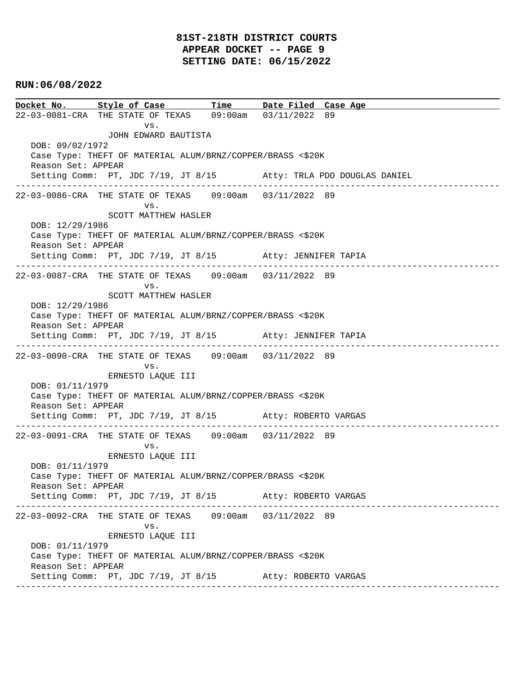# **81ST-218TH DISTRICT COURTS APPEAR DOCKET -- PAGE 9 SETTING DATE: 06/15/2022**

### **RUN:06/08/2022**

**Docket No. Style of Case Time Date Filed Case Age**  22-03-0081-CRA THE STATE OF TEXAS 09:00am 03/11/2022 89 vs. JOHN EDWARD BAUTISTA DOB: 09/02/1972 Case Type: THEFT OF MATERIAL ALUM/BRNZ/COPPER/BRASS <\$20K Reason Set: APPEAR Setting Comm: PT, JDC 7/19, JT 8/15 Atty: TRLA PDO DOUGLAS DANIEL ---------------------------------------------------------------------------------------------- 22-03-0086-CRA THE STATE OF TEXAS 09:00am 03/11/2022 89 vs. SCOTT MATTHEW HASLER DOB: 12/29/1986 Case Type: THEFT OF MATERIAL ALUM/BRNZ/COPPER/BRASS <\$20K Reason Set: APPEAR Setting Comm: PT, JDC 7/19, JT 8/15 Atty: JENNIFER TAPIA ---------------------------------------------------------------------------------------------- 22-03-0087-CRA THE STATE OF TEXAS 09:00am 03/11/2022 89 vs. SCOTT MATTHEW HASLER DOB: 12/29/1986 Case Type: THEFT OF MATERIAL ALUM/BRNZ/COPPER/BRASS <\$20K Reason Set: APPEAR Setting Comm: PT, JDC 7/19, JT 8/15 Atty: JENNIFER TAPIA ---------------------------------------------------------------------------------------------- 22-03-0090-CRA THE STATE OF TEXAS 09:00am 03/11/2022 89 vs. ERNESTO LAQUE III DOB: 01/11/1979 Case Type: THEFT OF MATERIAL ALUM/BRNZ/COPPER/BRASS <\$20K Reason Set: APPEAR Setting Comm: PT, JDC 7/19, JT 8/15 Atty: ROBERTO VARGAS ---------------------------------------------------------------------------------------------- 22-03-0091-CRA THE STATE OF TEXAS 09:00am 03/11/2022 89 vs. ERNESTO LAQUE III DOB: 01/11/1979 Case Type: THEFT OF MATERIAL ALUM/BRNZ/COPPER/BRASS <\$20K Reason Set: APPEAR Setting Comm: PT, JDC 7/19, JT 8/15 Atty: ROBERTO VARGAS ---------------------------------------------------------------------------------------------- 22-03-0092-CRA THE STATE OF TEXAS 09:00am 03/11/2022 89 vs. ERNESTO LAQUE III DOB: 01/11/1979 Case Type: THEFT OF MATERIAL ALUM/BRNZ/COPPER/BRASS <\$20K Reason Set: APPEAR Setting Comm: PT, JDC 7/19, JT 8/15 Atty: ROBERTO VARGAS ----------------------------------------------------------------------------------------------